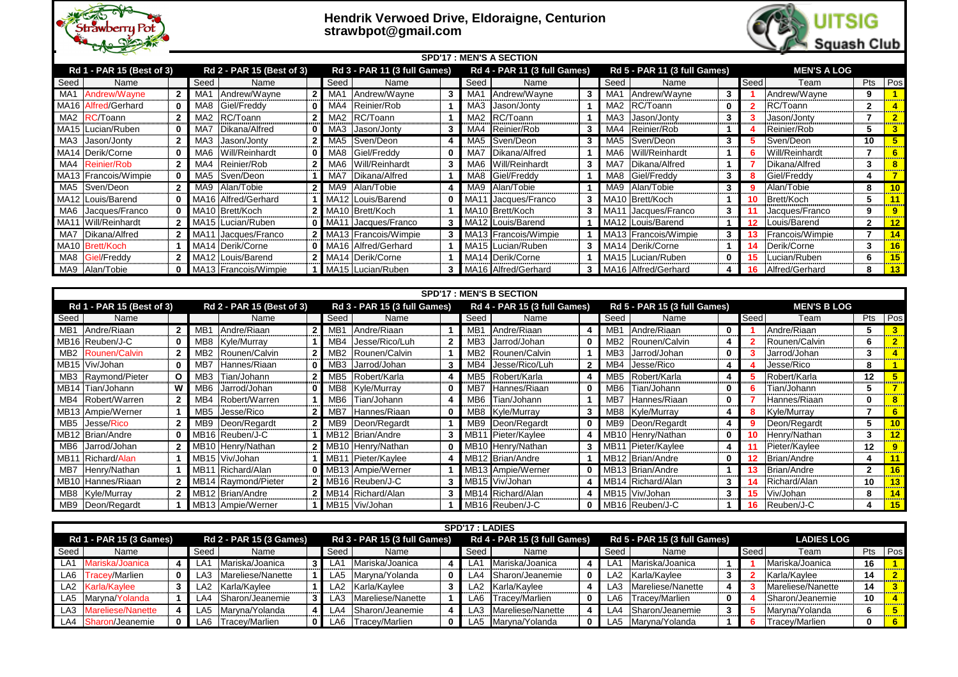

## **Hendrik Verwoed Drive, Eldoraigne, Centurion strawbpot@gmail.com**

|      | <b>SPD'17 : MEN'S A SECTION</b> |  |                 |                           |                |         |                                     |   |             |                                     |   |                 |                                     |             |      |                    |             |    |
|------|---------------------------------|--|-----------------|---------------------------|----------------|---------|-------------------------------------|---|-------------|-------------------------------------|---|-----------------|-------------------------------------|-------------|------|--------------------|-------------|----|
|      | Rd 1 - PAR 15 (Best of 3)       |  |                 | Rd 2 - PAR 15 (Best of 3) |                |         | <b>Rd 3 - PAR 11 (3 full Games)</b> |   |             | <b>Rd 4 - PAR 11 (3 full Games)</b> |   |                 | <b>Rd 5 - PAR 11 (3 full Games)</b> |             |      | <b>MEN'S A LOG</b> |             |    |
| Seed | Name                            |  | Seed            | Name                      |                | Seed    | Name                                |   | Seed        | Name                                |   | Seed            | Name                                |             | Seed | Team               | Pts Pos     |    |
| MA1  | Andrew/Wayne                    |  | MA <sub>1</sub> | Andrew/Wayne              | 2 <sub>1</sub> | MA1     | Andrew/Wayne                        | 3 | ۸A.         | Andrew/Wayne                        | 3 | MA <sub>1</sub> | Andrew/Wayne                        | 3           |      | Andrew/Wayne       | 9           |    |
|      | MA16 Alfred/Gerhard             |  | MA8             | Giel/Freddy               |                | MA4     | Reinier/Rob                         |   | MA3         | Jason/Jonty                         |   |                 | MA2 RC/Toann                        | $\mathbf 0$ |      | RC/Toann           | $\mathbf 2$ |    |
|      | MA2 RC/Toann                    |  | MA <sub>2</sub> | RC/Toann                  |                | MA2     | RC/Toann                            |   | MA2         | RC/Toann                            |   | MA3             | Jason/Jonty                         | 3           |      | Jason/Jonty        |             |    |
|      | MA15 Lucian/Ruben               |  | MA7             | Dikana/Alfred             |                | $0$ MA3 | Jason/Jonty                         |   | MA4         | Reinier/Rob                         |   | MA4             | Reinier/Rob                         |             |      | Reinier/Rob        |             |    |
|      | MA3 Jason/Jonty                 |  | MA3             | Jason/Jonty               | 2 <sub>1</sub> |         | MA5 Sven/Deon                       |   | MA5         | Sven/Deon                           | 3 |                 | MA5 Sven/Deon                       | 3           |      | Sven/Deon          | 10          |    |
|      | MA14 Derik/Corne                |  | MA6             | Will/Reinhardt            |                |         | MA8 Giel/Freddy                     |   | MA7         | Dikana/Alfred                       |   |                 | MA6 Will/Reinhardt                  |             |      | Will/Reinhardt     |             |    |
|      | MA4 Reinier/Rob                 |  | MA4             | Reinier/Rob               |                | MA6     | Will/Reinhardt                      |   | MA6         | Will/Reinhardt                      |   | MA7             | Dikana/Alfred                       |             |      | Dikana/Alfred      | 3           |    |
|      | MA13   Francois/Wimpie          |  |                 | MA5 Sven/Deon             |                | MA7     | Dikana/Alfred                       |   |             | VIA8 Giel/Freddy                    |   |                 | MA8 Giel/Freddy                     | 3           |      | Giel/Freddy        |             |    |
|      | MA5 Sven/Deon                   |  |                 | MA9 Alan/Tobie            |                | MA9     | Alan/Tobie                          |   | MA9         | Alan/Tobie                          |   |                 | MA9 Alan/Tobie                      | 3           |      | Alan/Tobie         | 8           | 10 |
|      | MA12 Louis/Barend               |  |                 | MA16 Alfred/Gerhard       |                |         | MA12 Louis/Barend                   |   | <b>MA11</b> | I Jacques/Franco                    |   |                 | MA10 Brett/Koch                     |             | 10   | Brett/Koch         | C.          |    |
|      | MA6 Jacques/Franco              |  |                 | 0 MA10 Brett/Koch         |                |         | 2 MA10 Brett/Koch                   |   |             | MA10 Brett/Koch                     |   |                 | MA11 Jacques/Franco                 | 3           |      | Jacques/Franco     | 9           |    |
|      | MA11 Will/Reinhardt             |  |                 | MA15 Lucian/Ruben         |                |         | 0 MA11 Jacques/Franco               |   |             | 3   MA12   Louis/Barend             |   |                 | MA12 Louis/Barend                   |             |      | Louis/Barend       | 2           | 12 |
|      | MA7   Dikana/Alfred             |  |                 | 2   MA11   Jacques/Franco |                |         | 2 MA13 Francois/Wimpie              |   |             | 3 MA13 Francois/Wimpie              |   |                 | MA13 Francois/Wimpie                | 3           |      | Francois/Wimpie    |             | 14 |
|      | MA10   Brett/Koch               |  |                 | MA14 Derik/Corne          |                |         | 0 MA16 Alfred/Gerhard               |   |             | MA15 Lucian/Ruben                   |   |                 | MA14 Derik/Corne                    |             | 14   | Derik/Corne        |             | 16 |
|      | MA8 Giel/Freddy                 |  |                 | MA12 Louis/Barend         |                |         | 2 MA14 Derik/Corne                  |   |             | MA14 Derik/Corne                    |   |                 | MA15   Lucian/Ruben                 | $\mathbf 0$ |      | ucian/Ruben_       | 6           | 15 |
|      | MA9 Alan/Tobie                  |  |                 | MA13 Francois/Wimpie      |                |         | MA15 Lucian/Ruben                   |   |             | MA16 Alfred/Gerhard                 |   |                 | MA16 Alfred/Gerhard                 | 4           | 16   | Alfred/Gerhard     | 8           | 13 |

|                 | <b>SPD'17 : MEN'S B SECTION</b> |                |                 |                           |  |                 |                                     |   |                 |                                     |              |                 |                                     |             |      |                    |          |          |
|-----------------|---------------------------------|----------------|-----------------|---------------------------|--|-----------------|-------------------------------------|---|-----------------|-------------------------------------|--------------|-----------------|-------------------------------------|-------------|------|--------------------|----------|----------|
|                 | Rd 1 - PAR 15 (Best of 3)       |                |                 | Rd 2 - PAR 15 (Best of 3) |  |                 | <b>Rd 3 - PAR 15 (3 full Games)</b> |   |                 | <b>Rd 4 - PAR 15 (3 full Games)</b> |              |                 | <b>Rd 5 - PAR 15 (3 full Games)</b> |             |      | <b>MEN'S B LOG</b> |          |          |
| Seed            | Name                            |                |                 | Name                      |  | Seed            | Name                                |   | Seed            | Name                                |              | Seed            | Name                                |             | Seed | Team               | Pts Pos  |          |
| MB <sub>1</sub> | Andre/Riaan                     |                | MB1             | Andre/Riaan               |  | МBʻ             | Andre/Riaan                         |   | MB1             | Andre/Riaan                         |              | MB1             | Andre/Riaan                         |             |      | Andre/Riaan        | э        |          |
|                 | MB <sub>16</sub> Reuben/J-C     |                | MB8             | Kyle/Murray               |  | MB4             | Jesse/Rico/Luh                      |   | MB <sub>3</sub> | Jarrod/Johan                        | 0            | MB <sub>2</sub> | Rounen/Calvin                       |             |      | Rounen/Calvin      | 6        |          |
|                 | MB2 Rounen/Calvin               |                | MB <sub>2</sub> | Rounen/Calvin             |  | MB2             | Rounen/Calvin                       |   | MB <sub>2</sub> | Rounen/Calvin                       |              | MB <sub>3</sub> | Jarrod/Johan                        | $\bf{0}$    |      | Jarrod/Johan       | 3        |          |
|                 | MB15 Viv/Johan                  |                | MB7             | Hannes/Riaan              |  | MB <sub>3</sub> | Jarrod/Johan                        | 3 | VIB4            | Jesse/Rico/Luh                      |              | MB4             | Jesse/Rico                          |             |      | Jesse/Rico         | 8        |          |
|                 | MB3   Raymond/Pieter            | $\overline{O}$ | MB <sub>3</sub> | Tian/Johann               |  | MB5             | Robert/Karla                        |   | MB5             | Robert/Karla                        |              | MB <sub>5</sub> | Robert/Karla                        |             |      | Robert/Karla       | 12       |          |
|                 | MB14 Tian/Johann                | W <sub>1</sub> | MB6             | Jarrod/Johan              |  | MB8             | Kyle/Murray                         |   | MB7             | Hannes/Riaan                        | 0            | MB <sub>6</sub> | Tian/Johann                         | $\mathbf 0$ |      | Tian/Johann        | 5        |          |
|                 | MB4   Robert/Warren             | 2 <sup>1</sup> | MB4             | Robert/Warren             |  | MB6             | 「ian/Johann                         |   | MB6             | Tian/Johann                         |              | MB7             | Hannes/Riaan                        | $\mathbf 0$ |      | Hannes/Riaan       | $\bf{0}$ | $\bf{8}$ |
|                 | MB13 Ampie/Werner               |                |                 | MB5 Jesse/Rico            |  | MB7             | Hannes/Riaan                        |   |                 | MB8 Kyle/Murray                     | 3            |                 | MB8 Kyle/Murray                     | 4           |      | Kyle/Murray        |          | 6        |
|                 | MB5 Jesse/Rico                  |                | MB9             | Deon/Regardt              |  | $2$ MB9         | Deon/Regardt                        |   | MB9             | Deon/Regardt                        | $\mathbf{0}$ |                 | MB9   Deon/Regardt                  | 4           |      | Deon/Regardt       | 5        | 10       |
|                 | MB12   Brian/Andre              |                |                 | MB16 Reuben/J-C           |  |                 | MB12 Brian/Andre                    |   |                 | MB11 Pieter/Kaylee                  |              |                 | MB10 Henry/Nathan                   | 0           | 10   | Henry/Nathan       | 3        | 12       |
|                 | MB6 Jarrod/Johan                | 2 I            |                 | MB10 Henry/Nathan         |  |                 | 2 MB10 Henry/Nathan                 |   |                 | MB10 Henry/Nathan                   |              |                 | MB11 Pieter/Kaylee                  |             |      | Pieter/Kaylee      | 12       | 9        |
|                 | MB11 Richard/Alan               |                |                 | MB15 Viv/Johan            |  |                 | MB11 Pieter/Kaylee                  |   |                 | MB12 Brian/Andre                    |              |                 | MB12 Brian/Andre                    | 0           |      | Brian/Andre        | 4        | 11       |
| MB7             | Henry/Nathan                    |                |                 | MB11 Richard/Alan         |  |                 | 0 MB13 Ampie/Werner                 |   |                 | MB13 Ampie/Werner                   |              |                 | 0 MB13 Brian/Andre                  |             |      | Brian/Andre        | 2        | 16       |
|                 | MB10  Hannes/Riaan              |                |                 | MB14 Raymond/Pieter       |  |                 | 2 MB16 Reuben/J-C                   |   |                 | MB15 Viv/Johan                      |              |                 | MB14 Richard/Alan                   | 3           | 14   | Richard/Alan       | 10       | 13       |
|                 | MB8 Kyle/Murray                 |                |                 | MB12 Brian/Andre          |  |                 | 2 MB14 Richard/Alan                 |   |                 | MB14 Richard/Alan                   |              |                 | MB15 Viv/Johan                      | 3           | 15   | Viv/Johan          | 8        | 14       |
|                 | MB9   Deon/Regardt              |                |                 | MB13 Ampie/Werner         |  |                 | MB15 Viv/Johan                      |   |                 | MB <sub>16</sub> Reuben/J-C         |              |                 | MB16 Reuben/J-C                     |             | 16   | Reuben/J-C         |          | 15       |

|      |                                |   |      |                                |                         |                                     | <b>SPD'17 : LADIES</b> |                                     |              |                 |                                     |          |      |                   |          |                |
|------|--------------------------------|---|------|--------------------------------|-------------------------|-------------------------------------|------------------------|-------------------------------------|--------------|-----------------|-------------------------------------|----------|------|-------------------|----------|----------------|
|      | <b>Rd 1 - PAR 15 (3 Games)</b> |   |      | <b>Rd 2 - PAR 15 (3 Games)</b> |                         | <b>Rd 3 - PAR 15 (3 full Games)</b> |                        | <b>Rd 4 - PAR 15 (3 full Games)</b> |              |                 | <b>Rd 5 - PAR 15 (3 full Games)</b> |          |      | <b>LADIES LOG</b> |          |                |
| Seed | Name                           |   | Seed | Name                           | Seed                    | Name                                | Seed                   | Name                                |              | Seed            | Name                                |          | Seed | Team              |          | Pts Pos        |
|      | LA1 Mariska/Joanica            |   | ـA1. | Mariska/Joanica                | LA1                     | Mariska/Joanica                     | LA1                    | Mariska/Joanica                     |              | LA <sub>1</sub> | Mariska/Joanica                     |          |      | Mariska/Joanica   | 16       |                |
|      | LA6 Tracey/Marlien             | 0 | ـA3  | Mareliese/Nanette              | $\mathsf{L}\mathsf{A}5$ | Maryna/Yolanda                      | ـ A4ـ                  | Sharon/Jeanemie                     | 0            |                 | LA2 Karla/Kaylee                    |          |      | Karla/Kaylee      | 14       | $\overline{2}$ |
|      | LA2 Karla/Kaylee               |   |      | LA2 Karla/Kaylee               | LA <sub>2</sub>         | Karla/Kaylee                        | $\mathsf{A}2$          | Karla/Kaylee                        |              | LA3.            | Mareliese/Nanette                   | 4        |      | Mareliese/Nanette | 14       | $\mathbf{3}$   |
|      | LA5 Maryna/Yolanda             |   |      | LA4 Sharon/Jeanemie            | LA3                     | Mareliese/Nanette                   | LA <sub>6</sub>        | Tracey/Marlien                      | $\mathbf{0}$ | LA6             | Tracey/Marlien                      | $\bf{0}$ |      | Sharon/Jeanemie   | 10       |                |
|      | LA3 Mareliese/Nanette          |   |      | LA5 Maryna/Yolanda             | _A4                     | Sharon/Jeanemie                     | $\mathsf{LA3}$         | Mareliese/Nanette                   |              | ∟A4             | Sharon/Jeanemie                     |          |      | Maryna/Yolanda    | 6        |                |
|      | LA4 Sharon/Jeanemie            |   |      | LA6 Tracey/Marlien             | LA6                     | Tracey/Marlien                      |                        | LA5 Maryna/Yolanda                  | $\mathbf{0}$ |                 | LA5 Maryna/Yolanda                  |          |      | Tracey/Marlien    | $\bf{0}$ | 6 <sup>6</sup> |